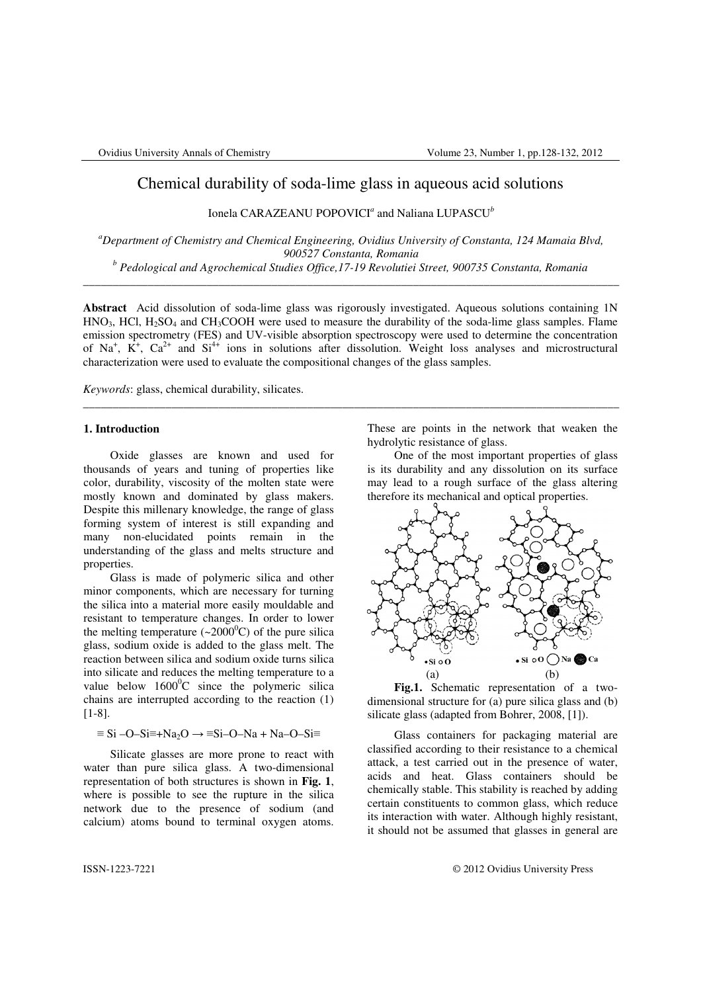# Chemical durability of soda-lime glass in aqueous acid solutions

Ionela CARAZEANU POPOVICI*<sup>a</sup>* and Naliana LUPASCU*<sup>b</sup>*

*<sup>a</sup>Department of Chemistry and Chemical Engineering, Ovidius University of Constanta, 124 Mamaia Blvd, 900527 Constanta, Romania b Pedological and Agrochemical Studies Office,17-19 Revolutiei Street, 900735 Constanta, Romania*

\_\_\_\_\_\_\_\_\_\_\_\_\_\_\_\_\_\_\_\_\_\_\_\_\_\_\_\_\_\_\_\_\_\_\_\_\_\_\_\_\_\_\_\_\_\_\_\_\_\_\_\_\_\_\_\_\_\_\_\_\_\_\_\_\_\_\_\_\_\_\_\_\_\_\_\_\_\_\_\_\_\_\_\_\_\_\_\_\_\_\_

**Abstract** Acid dissolution of soda-lime glass was rigorously investigated. Aqueous solutions containing 1N  $HNO<sub>3</sub>$ , HCl, H<sub>2</sub>SO<sub>4</sub> and CH<sub>3</sub>COOH were used to measure the durability of the soda-lime glass samples. Flame emission spectrometry (FES) and UV-visible absorption spectroscopy were used to determine the concentration of Na<sup>+</sup>,  $K^+$ , Ca<sup>2+</sup> and Si<sup>4+</sup> ions in solutions after dissolution. Weight loss analyses and microstructural characterization were used to evaluate the compositional changes of the glass samples.

\_\_\_\_\_\_\_\_\_\_\_\_\_\_\_\_\_\_\_\_\_\_\_\_\_\_\_\_\_\_\_\_\_\_\_\_\_\_\_\_\_\_\_\_\_\_\_\_\_\_\_\_\_\_\_\_\_\_\_\_\_\_\_\_\_\_\_\_\_\_\_\_\_\_\_\_\_\_\_\_\_\_\_\_\_\_\_\_\_\_\_

*Keywords*: glass, chemical durability, silicates.

#### **1. Introduction**

Oxide glasses are known and used for thousands of years and tuning of properties like color, durability, viscosity of the molten state were mostly known and dominated by glass makers. Despite this millenary knowledge, the range of glass forming system of interest is still expanding and many non-elucidated points remain in the understanding of the glass and melts structure and properties.

Glass is made of polymeric silica and other minor components, which are necessary for turning the silica into a material more easily mouldable and resistant to temperature changes. In order to lower the melting temperature  $({\sim}2000^0C)$  of the pure silica glass, sodium oxide is added to the glass melt. The reaction between silica and sodium oxide turns silica into silicate and reduces the melting temperature to a value below  $1600^{\circ}$ C since the polymeric silica chains are interrupted according to the reaction (1) [1-8].

# $\equiv$  Si –O–Si $\equiv$ +Na<sub>2</sub>O  $\rightarrow$   $\equiv$ Si–O–Na + Na–O–Si $\equiv$

Silicate glasses are more prone to react with water than pure silica glass. A two-dimensional representation of both structures is shown in **Fig. 1**, where is possible to see the rupture in the silica network due to the presence of sodium (and calcium) atoms bound to terminal oxygen atoms.

These are points in the network that weaken the hydrolytic resistance of glass.

One of the most important properties of glass is its durability and any dissolution on its surface may lead to a rough surface of the glass altering therefore its mechanical and optical properties.



**Fig.1.** Schematic representation of a twodimensional structure for (a) pure silica glass and (b) silicate glass (adapted from Bohrer, 2008, [1]).

Glass containers for packaging material are classified according to their resistance to a chemical attack, a test carried out in the presence of water, acids and heat. Glass containers should be chemically stable. This stability is reached by adding certain constituents to common glass, which reduce its interaction with water. Although highly resistant, it should not be assumed that glasses in general are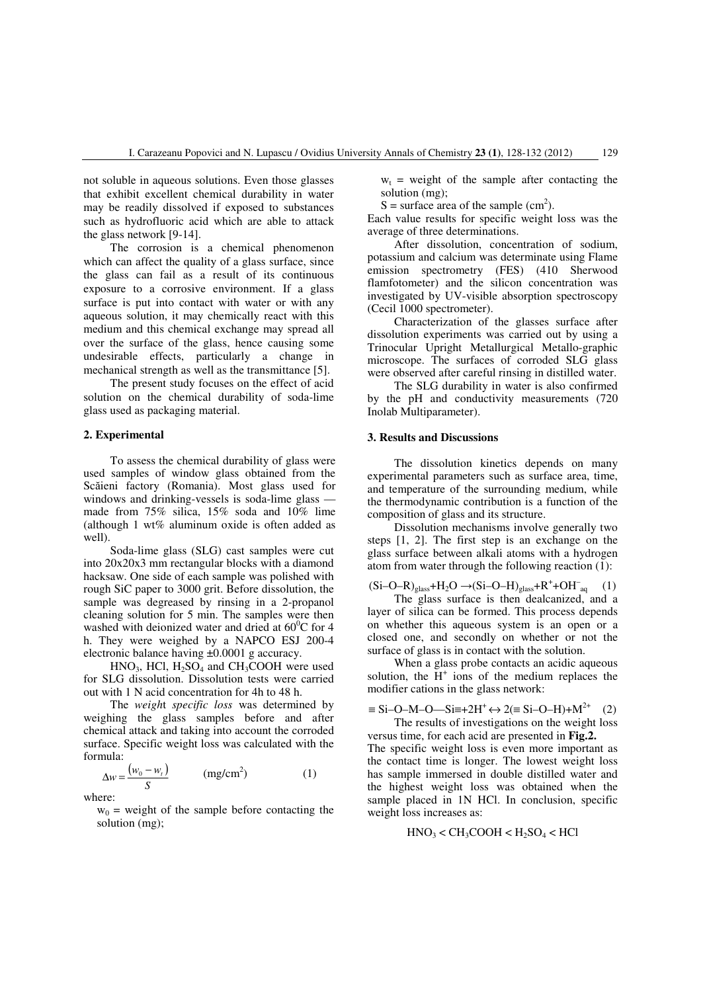not soluble in aqueous solutions. Even those glasses that exhibit excellent chemical durability in water may be readily dissolved if exposed to substances such as hydrofluoric acid which are able to attack the glass network [9-14].

The corrosion is a chemical phenomenon which can affect the quality of a glass surface, since the glass can fail as a result of its continuous exposure to a corrosive environment. If a glass surface is put into contact with water or with any aqueous solution, it may chemically react with this medium and this chemical exchange may spread all over the surface of the glass, hence causing some undesirable effects, particularly a change in mechanical strength as well as the transmittance [5].

The present study focuses on the effect of acid solution on the chemical durability of soda-lime glass used as packaging material.

## **2. Experimental**

To assess the chemical durability of glass were used samples of window glass obtained from the Scăieni factory (Romania). Most glass used for windows and drinking-vessels is soda-lime glass made from 75% silica, 15% soda and 10% lime (although 1 wt% aluminum oxide is often added as well).

Soda-lime glass (SLG) cast samples were cut into 20x20x3 mm rectangular blocks with a diamond hacksaw. One side of each sample was polished with rough SiC paper to 3000 grit. Before dissolution, the sample was degreased by rinsing in a 2-propanol cleaning solution for 5 min. The samples were then washed with deionized water and dried at  $60^{\circ}$ C for 4 h. They were weighed by a NAPCO ESJ 200-4 electronic balance having ±0.0001 g accuracy.

 $HNO<sub>3</sub>$ , HCl,  $H<sub>2</sub>SO<sub>4</sub>$  and CH<sub>3</sub>COOH were used for SLG dissolution. Dissolution tests were carried out with 1 N acid concentration for 4h to 48 h.

The *weigh*t *specific loss* was determined by weighing the glass samples before and after chemical attack and taking into account the corroded surface. Specific weight loss was calculated with the formula:

$$
\Delta w = \frac{(w_0 - w_t)}{S} \quad (\text{mg/cm}^2)
$$
 (1)

where:

 $w_0$  = weight of the sample before contacting the solution (mg);

 $w_t$  = weight of the sample after contacting the solution (mg);

 $S =$  surface area of the sample (cm<sup>2</sup>).

Each value results for specific weight loss was the average of three determinations.

After dissolution, concentration of sodium, potassium and calcium was determinate using Flame emission spectrometry (FES) (410 Sherwood flamfotometer) and the silicon concentration was investigated by UV-visible absorption spectroscopy (Cecil 1000 spectrometer).

Characterization of the glasses surface after dissolution experiments was carried out by using a Trinocular Upright Metallurgical Metallo-graphic microscope. The surfaces of corroded SLG glass were observed after careful rinsing in distilled water.

The SLG durability in water is also confirmed by the pH and conductivity measurements (720 Inolab Multiparameter).

### **3. Results and Discussions**

The dissolution kinetics depends on many experimental parameters such as surface area, time, and temperature of the surrounding medium, while the thermodynamic contribution is a function of the composition of glass and its structure.

Dissolution mechanisms involve generally two steps [1, 2]. The first step is an exchange on the glass surface between alkali atoms with a hydrogen atom from water through the following reaction (1):

$$
(Si-O-R)_{glass}+H_2O \rightarrow (Si-O-H)_{glass}+R^+ + OH^-_{aq} \hspace{0.5cm} (1)
$$

The glass surface is then dealcanized, and a layer of silica can be formed. This process depends on whether this aqueous system is an open or a closed one, and secondly on whether or not the surface of glass is in contact with the solution.

When a glass probe contacts an acidic aqueous solution, the  $H^+$  ions of the medium replaces the modifier cations in the glass network:

$$
\equiv \text{Si-O-M-O—Si=+2H}^{+} \leftrightarrow 2 (\equiv \text{Si-O-H}) + \text{M}^{2+} \quad (2)
$$
  
The results of investigations on the weight loss

versus time, for each acid are presented in **Fig.2.** The specific weight loss is even more important as the contact time is longer. The lowest weight loss has sample immersed in double distilled water and the highest weight loss was obtained when the sample placed in 1N HCl. In conclusion, specific weight loss increases as:

$$
HNO3 < CH3COOH < H2SO4 < HCl
$$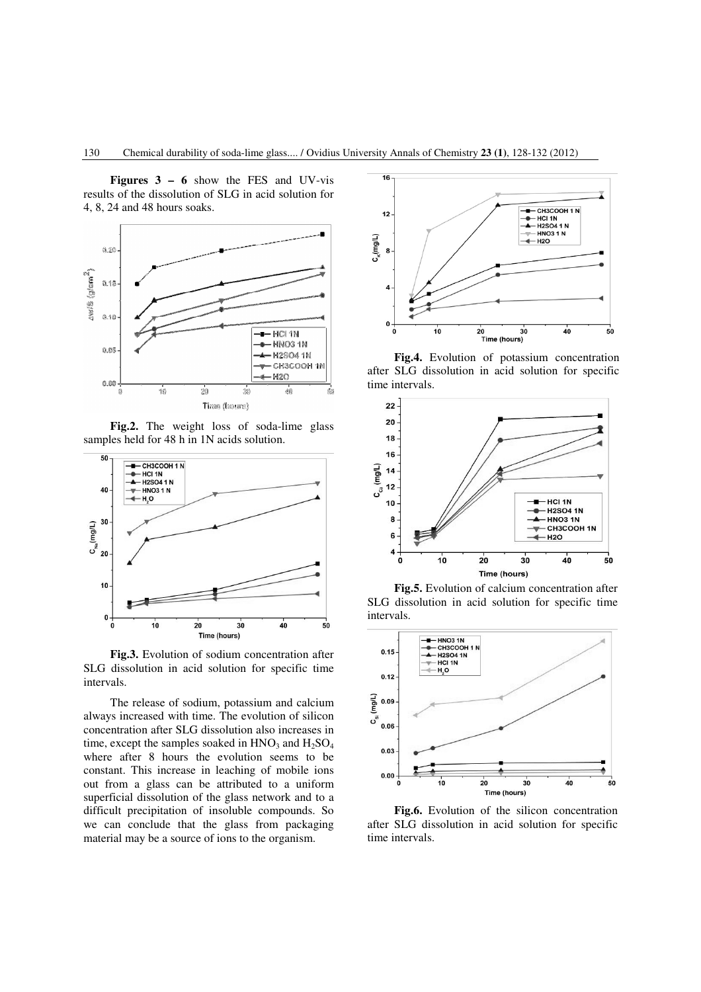**Figures 3 – 6** show the FES and UV-vis results of the dissolution of SLG in acid solution for 4, 8, 24 and 48 hours soaks.



**Fig.2.** The weight loss of soda-lime glass samples held for 48 h in 1N acids solution.



**Fig.3.** Evolution of sodium concentration after SLG dissolution in acid solution for specific time intervals.

The release of sodium, potassium and calcium always increased with time. The evolution of silicon concentration after SLG dissolution also increases in time, except the samples soaked in  $HNO<sub>3</sub>$  and  $H<sub>2</sub>SO<sub>4</sub>$ where after 8 hours the evolution seems to be constant. This increase in leaching of mobile ions out from a glass can be attributed to a uniform superficial dissolution of the glass network and to a difficult precipitation of insoluble compounds. So we can conclude that the glass from packaging material may be a source of ions to the organism.



**Fig.4.** Evolution of potassium concentration after SLG dissolution in acid solution for specific time intervals.



**Fig.5.** Evolution of calcium concentration after SLG dissolution in acid solution for specific time intervals.



**Fig.6.** Evolution of the silicon concentration after SLG dissolution in acid solution for specific time intervals.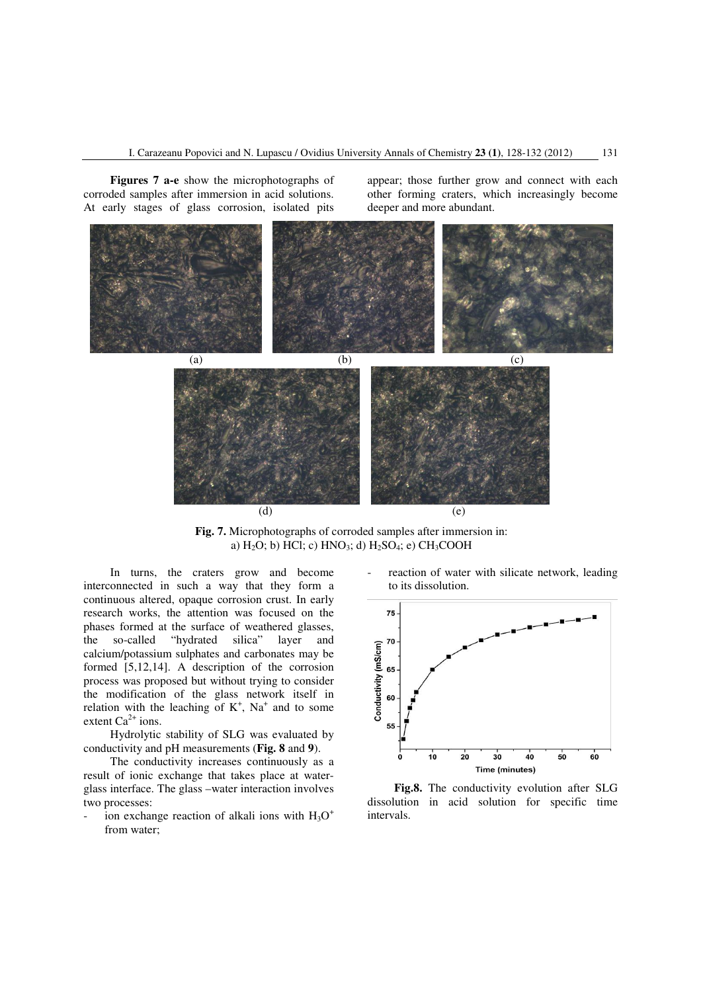**Figures 7 a-e** show the microphotographs of corroded samples after immersion in acid solutions. At early stages of glass corrosion, isolated pits

appear; those further grow and connect with each other forming craters, which increasingly become deeper and more abundant.



**Fig. 7.** Microphotographs of corroded samples after immersion in: a)  $H_2O$ ; b) HCl; c)  $HNO_3$ ; d)  $H_2SO_4$ ; e)  $CH_3COOH$ 

In turns, the craters grow and become interconnected in such a way that they form a continuous altered, opaque corrosion crust. In early research works, the attention was focused on the phases formed at the surface of weathered glasses, the so-called "hydrated silica" layer and calcium/potassium sulphates and carbonates may be formed [5,12,14]. A description of the corrosion process was proposed but without trying to consider the modification of the glass network itself in relation with the leaching of  $K^+$ , Na<sup>+</sup> and to some extent  $Ca^{2+}$  ions.

Hydrolytic stability of SLG was evaluated by conductivity and pH measurements (**Fig. 8** and **9**).

The conductivity increases continuously as a result of ionic exchange that takes place at waterglass interface. The glass –water interaction involves two processes:

- ion exchange reaction of alkali ions with  $H_3O^+$ from water;

reaction of water with silicate network, leading to its dissolution.



**Fig.8.** The conductivity evolution after SLG dissolution in acid solution for specific time intervals.